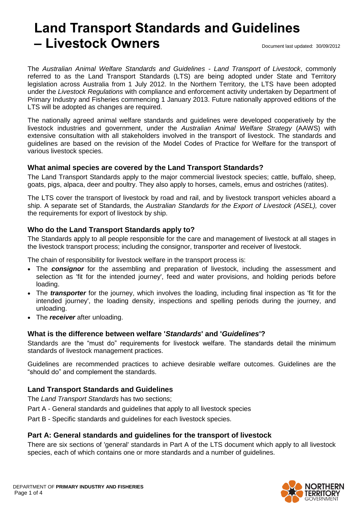# **Land Transport Standards and Guidelines – Livestock Owners** Degree and the Document last updated: 30/09/2012

The *Australian Animal Welfare Standards and Guidelines - Land Transport of Livestock*, commonly referred to as the Land Transport Standards (LTS) are being adopted under State and Territory legislation across Australia from 1 July 2012. In the Northern Territory, the LTS have been adopted under the *Livestock Regulations* with compliance and enforcement activity undertaken by Department of Primary Industry and Fisheries commencing 1 January 2013. Future nationally approved editions of the LTS will be adopted as changes are required.

The nationally agreed animal welfare standards and guidelines were developed cooperatively by the livestock industries and government, under the *Australian Animal Welfare Strategy* (AAWS) with extensive consultation with all stakeholders involved in the transport of livestock. The standards and guidelines are based on the revision of the Model Codes of Practice for Welfare for the transport of various livestock species.

## **What animal species are covered by the Land Transport Standards?**

The Land Transport Standards apply to the major commercial livestock species; cattle, buffalo, sheep, goats, pigs, alpaca, deer and poultry. They also apply to horses, camels, emus and ostriches (ratites).

The LTS cover the transport of livestock by road and rail, and by livestock transport vehicles aboard a ship. A separate set of Standards, the *Australian Standards for the Export of Livestock (ASEL),* cover the requirements for export of livestock by ship.

# **Who do the Land Transport Standards apply to?**

The Standards apply to all people responsible for the care and management of livestock at all stages in the livestock transport process; including the consignor, transporter and receiver of livestock.

The chain of responsibility for livestock welfare in the transport process is:

- The *consignor* for the assembling and preparation of livestock, including the assessment and selection as 'fit for the intended journey', feed and water provisions, and holding periods before loading.
- The *transporter* for the journey, which involves the loading, including final inspection as 'fit for the intended journey', the loading density, inspections and spelling periods during the journey, and unloading.
- The *receiver* after unloading.

## **What is the difference between welfare '***Standards***' and '***Guidelines***'?**

Standards are the "must do" requirements for livestock welfare. The standards detail the minimum standards of livestock management practices.

Guidelines are recommended practices to achieve desirable welfare outcomes. Guidelines are the "should do" and complement the standards.

## **Land Transport Standards and Guidelines**

The *Land Transport Standards* has two sections;

Part A - General standards and guidelines that apply to all livestock species

Part B - Specific standards and guidelines for each livestock species.

### **Part A: General standards and guidelines for the transport of livestock**

There are six sections of 'general' standards in Part A of the LTS document which apply to all livestock species, each of which contains one or more standards and a number of guidelines.

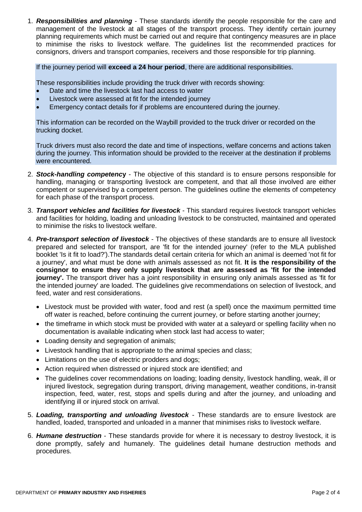1. *Responsibilities and planning* - These standards identify the people responsible for the care and management of the livestock at all stages of the transport process. They identify certain journey planning requirements which must be carried out and require that contingency measures are in place to minimise the risks to livestock welfare. The guidelines list the recommended practices for consignors, drivers and transport companies, receivers and those responsible for trip planning.

If the journey period will **exceed a 24 hour period**, there are additional responsibilities.

These responsibilities include providing the truck driver with records showing:

- Date and time the livestock last had access to water
- Livestock were assessed at fit for the intended journey
- Emergency contact details for if problems are encountered during the journey.

This information can be recorded on the Waybill provided to the truck driver or recorded on the trucking docket.

Truck drivers must also record the date and time of inspections, welfare concerns and actions taken during the journey. This information should be provided to the receiver at the destination if problems were encountered.

- 2. *Stock-handling competenc***y**  The objective of this standard is to ensure persons responsible for handling, managing or transporting livestock are competent, and that all those involved are either competent or supervised by a competent person. The guidelines outline the elements of competency for each phase of the transport process.
- 3. *Transport vehicles and facilities for livestock* This standard requires livestock transport vehicles and facilities for holding, loading and unloading livestock to be constructed, maintained and operated to minimise the risks to livestock welfare.
- 4. *Pre-transport selection of livestock* The objectives of these standards are to ensure all livestock prepared and selected for transport, are 'fit for the intended journey' (refer to the MLA published booklet 'Is it fit to load?').The standards detail certain criteria for which an animal is deemed 'not fit for a journey', and what must be done with animals assessed as not fit. **It is the responsibility of the consignor to ensure they only supply livestock that are assessed as 'fit for the intended journey'.** The transport driver has a joint responsibility in ensuring only animals assessed as 'fit for the intended journey' are loaded. The guidelines give recommendations on selection of livestock, and feed, water and rest considerations.
	- Livestock must be provided with water, food and rest (a spell) once the maximum permitted time off water is reached, before continuing the current journey, or before starting another journey;
	- the timeframe in which stock must be provided with water at a salevard or spelling facility when no documentation is available indicating when stock last had access to water;
	- Loading density and segregation of animals;
	- Livestock handling that is appropriate to the animal species and class;
	- Limitations on the use of electric prodders and dogs;
	- Action required when distressed or injured stock are identified; and
	- The guidelines cover recommendations on loading; loading density, livestock handling, weak, ill or injured livestock, segregation during transport, driving management, weather conditions, in-transit inspection, feed, water, rest, stops and spells during and after the journey, and unloading and identifying ill or injured stock on arrival.
- 5. *Loading, transporting and unloading livestock* These standards are to ensure livestock are handled, loaded, transported and unloaded in a manner that minimises risks to livestock welfare.
- 6. *Humane destruction* These standards provide for where it is necessary to destroy livestock, it is done promptly, safely and humanely. The guidelines detail humane destruction methods and procedures.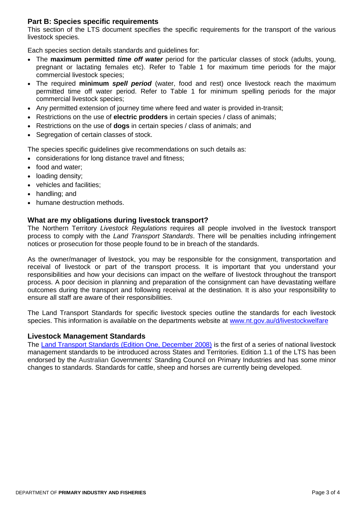## **Part B: Species specific requirements**

This section of the LTS document specifies the specific requirements for the transport of the various livestock species.

Each species section details standards and guidelines for:

- The **maximum permitted** *time off water* period for the particular classes of stock (adults, young, pregnant or lactating females etc). Refer to Table 1 for maximum time periods for the major commercial livestock species;
- The required **minimum** *spell period* (water, food and rest) once livestock reach the maximum permitted time off water period. Refer to Table 1 for minimum spelling periods for the major commercial livestock species;
- Any permitted extension of journey time where feed and water is provided in-transit;
- Restrictions on the use of **electric prodders** in certain species / class of animals;
- Restrictions on the use of **dogs** in certain species / class of animals; and
- Segregation of certain classes of stock.

The species specific guidelines give recommendations on such details as:

- considerations for long distance travel and fitness;
- food and water;
- loading density;
- vehicles and facilities;
- handling; and
- humane destruction methods.

#### **What are my obligations during livestock transport?**

The Northern Territory *Livestock Regulations* requires all people involved in the livestock transport process to comply with the *Land Transport Standards*. There will be penalties including infringement notices or prosecution for those people found to be in breach of the standards.

As the owner/manager of livestock, you may be responsible for the consignment, transportation and receival of livestock or part of the transport process. It is important that you understand your responsibilities and how your decisions can impact on the welfare of livestock throughout the transport process. A poor decision in planning and preparation of the consignment can have devastating welfare outcomes during the transport and following receival at the destination. It is also your responsibility to ensure all staff are aware of their responsibilities.

The Land Transport Standards for specific livestock species outline the standards for each livestock species. This information is available on the departments website at [www.nt.gov.au/d/livestockwelfare](http://www.nt.gov.au/d/livestockwelfare)

#### **Livestock Management Standards**

The [Land Transport Standards](http://www.animalwelfarestandards.net.au/land-transport/) (Edition One, December 2008) is the first of a series of national livestock management standards to be introduced across States and Territories. Edition 1.1 of the LTS has been endorsed by the Australian Governments' Standing Council on Primary Industries and has some minor changes to standards. Standards for cattle, sheep and horses are currently being developed.